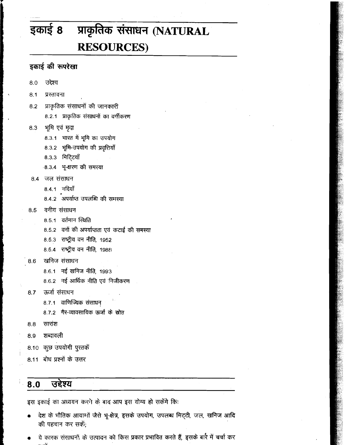# इकाई 8 प्राकृतिक संसाधन (NATURAL **RESOURCES)**

# इकाई की रूपरेखा

- उद्देश्य  $8.0$
- $8.1$ प्रस्तावना
- प्राकृतिक संसाधनों की जानकारी  $8.2$ 8.2.1 प्राकृतिक संसाधनों का वर्गीकरण
- भूमि एवं मृदा 8.3
	- 8.3.1 भारत में भूमि का उपयोग
	- 8.3.2 भूमि-उपयोग की प्रवृत्तियाँ
	- 8.3.3 मिटि्टयाँ
	- -8.3.4 भू-क्षरण की समस्या
- 8.4 जल संसाधन
	- 8.4.1 नदियाँ
	- 8.4.2 अपर्याप्त उपलब्धि की समस्या
- वनीय संसाधन 8.5
	- 8.5.1 वर्तमान स्थिति
	- 8.5.2 वनों की अपर्याप्तता एवं कटाई की समस्या
	- 8.5.3 राष्ट्रीय वन नीति, 1952
	- 8.5.4 राष्ट्रीय वन नीति, 1988
- खनिज संसाधन 8.6
	- 8.6.1 नई खनिज नीति, 1993
	- 8.6.2 नई आर्थिक नीति एवं निजीकरण
- ऊर्जा संसाधन  $8.7$ 
	- 8.7.1 वाणिज्यिक संसाधन
	- 8.7.2 गैर-व्यावसायिक ऊर्जा के स्रोत
- $8.8$ सारांश
- शब्दावली 8.9
- 8.10 कुछ उपयोगी पुरतकें
- 8.11 बोध प्रश्नों के उत्तर

### उद्देश्य  $8.0$

इस इकाई का अध्ययन करने के बाद आप इस योग्य हो सकेंगे कि:

- देश के भौतिक आयागों जैसे भू-क्षेत्र, इसके उपयोग, उपलब्ध मिट्टी, जल, खनिज आदि की पहचान कर सकें;
- ये कारक संसाधनों के उत्पादन को किस प्रकार प्रभावित करते हैं, इसके बारे में चर्चा कर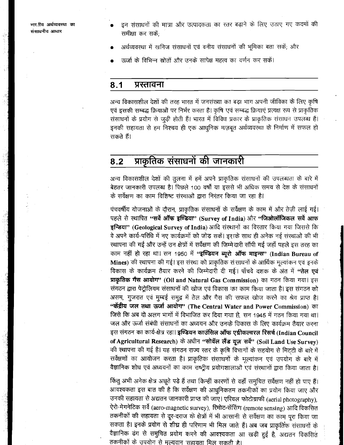भारतीय अर्थव्यवस्था का संसाधनीय आधार

- इन संसाधनों की मात्रा और उत्पादकता का रतर बढ़ाने के लिए उठाए गए कदमों की समीक्षा कर सकें:
- अर्थव्यवस्था में खनिज संसाधनों एवं वनीय संसाधनों की भूमिका बता सकें, और
- ऊर्जा के विभिन्न स्रोतों और उनके सापेक्ष महत्व का वर्णन कर सकें।

#### $8.1$ प्रस्तावना

अन्य विकासशील देशों की तरह भारत में जनसंख्या का बड़ा भाग अपनी जीविका के लिए कृषि एवं इसकी सम्बद्ध क्रियाओं पर निर्भर करता है। कृषि एवं सम्बद्ध क्रियाएं प्रत्यक्ष रूप से प्राकृतिक संसाधनों के प्रयोग से जुड़ी होती हैं। भारत में विविध प्रकार के प्राकृतिक संसाधन उपलब्ध हैं। इनकी सहायता से हम निश्चय ही एक आधुनिक मज़बूत अर्थव्यवरथा के निर्माण में सफल हो सकते हैं।

### प्राकृतिक संसाधनों की जानकारी  $8.2$

अन्य विकासंशील देशों की तुलना में हमें अपने प्राकृतिक संसाधनों की उपलब्धता के बारे में बेहतर जानकारी उपलब्ध है। पिछले 100 वर्षों या इससे भी अधिक समय से देश के संसाधनों के सर्वेक्षण का काम विशिष्ट संस्थाओं द्वारा निरंतर किया जा रहा है।

पंचवर्षीय योजनाओं के दौरान, प्राकृतिक संसाधनों के सर्वेक्षण के काम में और तेज़ी लाई गई। पहले से स्थापित "सर्वे ऑफ इण्डिया" (Survey of India) और "जिओलॉजिकल सर्वे आफ इन्डिया" (Geological Survey of India) आदि संस्थानों का विस्तार किया गया जिससे कि वे अपने कार्य-परिधि में नए कार्यक्रमों को जोड़ सकें। इसके साथ ही अनेक नई संख्थाओं की भी रथापना की गई और उन्हें उन क्षेत्रों में सर्वेक्षण की जिम्मेदारी सौंपी गई जहाँ पहले इस तरह का काम नहीं हो रहा था। सन 1950 में "इण्डियन ब्यूरो ऑफ माइन्स" (Indian Bureau of Mines) की स्थापना की गई। इस संस्था को प्राकृतिक संसाधनों के आर्थिक मूल्यांकन एवं इनके विकास के कार्यक्रम तैयार करने की जिम्मेदारी दी गई। पाँचवे दशक के अंत में "तेल एवं प्राकृतिक गैस आयोग" (Oil and Natural Gas Commission) का गठन किया गया। इस संगठन द्वारा पेट्रोलियम संसाधनों की खोज एवं विकास का काम किया जाता है। इस संगठन को असम, गुजरात एवं मुम्बई समुद्र में तेल और गैस की सफल खोज करने का श्रेय प्राप्त है। "केंद्रीय जल तथा ऊर्जा आयोग" (The Central Water and Power Commission) का जिसे कि अब दो अलग भागों में विभाजित कर दिया गया है, सन 1945 में गठन किया गया था। जल और ऊर्जा संबंधी संसाधनों का अध्ययन और उनके विकास के लिए कार्यक्रम तैयार करना इस संगठन का कार्य-क्षेत्र रहा। इण्डियन काउंसिल ऑफ एग्रीकल्चरल रिसर्च (Indian Council of Agricultural Research) के अधीन "सोयॅल लैंड यूज़ सर्वे" (Soil Land Use Survey) की स्थापना की गई है। यह संगठन राज्य रतर के कृषि विभागों के सहयोग से मिट्टी के बारे में सर्वेक्षणों का आयोजन करता है। प्राकृतिक संसाधनों के मूल्यांकन एवं उपयोग के बारे में वैज्ञानिक शोध एवं अध्ययनों का काम राष्ट्रीय प्रयोगशालाओं एवं संस्थानों द्वारा किया जाता है।

किंतु अभी अनेक क्षेत्र अछूते पड़े हैं तथा किन्हीं कारणों से वहाँ समुचित सर्वेक्षण नहीं हो पाए हैं। आवश्यकता इस बात की है कि सर्वेक्षण की आधुनिकतम तकनीकों का प्रयोग किया जाए और उनकी सहायता से अद्यतन जानकारी प्राप्त की जाएं। एरियल फोटोग्राफी (aerial photography), ऐरो-मेगनेटिक सर्वे (aero-magnetic survey), रिमोट-सेंसिंग (remote sensing) आदि विकसित तकनीकों की सहायता से दूर-दराज के क्षेत्रों में भी आसानी से सर्वेक्षण का काम पूरा किया जा सकता है। इनके प्रयोग से शीघ्र ही परिणाम भी मिल जाते हैं। अब जब प्राकृतिक संसाधनों के वैज्ञानिक ढंग से समुचित प्रयोग करने की आवश्यकता आ खड़ी हुई है, अद्यतन विकसित तकनीकों के उपयोग से मुल्यवान 'सहायता मिल सकती है।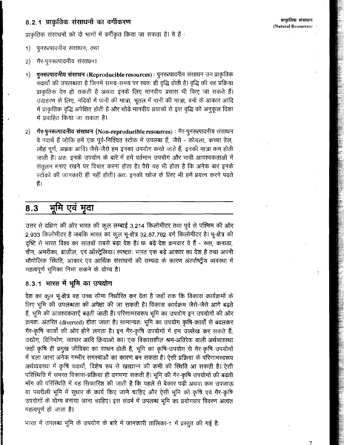## 8.2.1 प्राकृतिक संसाधनों का वर्गीकरण

प्राकृतिक संसाधनों को दो भागों में वर्गीकृत किया जा सकता है। ये हैं:

- पूनरूत्पादनीय संसाधन; तथा  $\left( \left( \right)$
- गैर-पुनरूत्पादनीय संसाधन। 2)
- पुनरूत्पादनीय संसाधन (Reproducible resources) : पुनरूत्पादनीय संसाधन उन प्राकृतिक  $\left( \left( \right)$ पदार्थों की उपलब्धता है जिनमें समय-समय पर स्वतः ही वृद्धि होती है। वृद्धि की यह प्रक्रिया प्राकृतिक देन हो सकती है अथवा इनके लिए मानवीय प्रयास भी किए जा सकते हैं। उदाहरण के लिए, नदियों में पानी की मात्रा, भूतल में पानी की मात्रा, वनों के आकार आदि में प्राकृतिक वृद्धि अपेक्षित होती है और थोड़े मानवीय प्रयासों से इस वृद्धि को अनुकूल दिशा में प्रवाहित किया जा सकता है।
- गेर-पुनरूत्पादनीय संसाधन (Non-reproducible resources) : गैर-पुनरूत्पादनीय संसाधन  $\left( 2\right)$ वे पदार्थ हैं जोकि हमें एक पूर्व-निश्चित स्टॉक में उपलब्ध हैं, जैसे - कोयला, कच्चा तेल, लौह चूर्ण, अभ्रक आदि। जैसे-जैसे हम इनका उपयोग करते जाते हैं, इनकी मात्रा कम होती जाती है। अतः इनके उपयोग के बारे में हमें वर्तमान उपभोग और भावी आवश्यकताओं में संतुलन बनाए रखने पर विचार करना होता है। वैसे यह भी होता है कि अनेक बार इनके रटॉकों की जानकारी ही नहीं होती। अतः इनकी खोज के लिए भी हमें प्रयत्न करने पड़ते हैं।

### 8.3 भूमि एवं मुदा

उत्तर से दक्षिण की ओर भारत की कुल लम्बाई 3,214 किलोमीटर तथा पूर्व से पश्चिम की ओर 2,933 किलोमीटर है जबकि भारत का कूल भू-क्षेत्र 32,87,782 वर्ग किलोमीटर है। भू-क्षेत्र की दृष्टि से भारत विश्व का सातवाँ सबसे बड़ा देश है। छः बड़े देश क्रमवार ये हैं - रूस, कनाड़ा, चीन, अमरीका, ब्राज़ील, एवं ऑस्ट्रेलिया। स्पष्टतः भारत एक बड़े आकार का देश है तथा अपनी भौगोलिक स्थिति, आकार एव आर्थिक संसाधनों की सम्पदा के कारण अंतर्राष्ट्रीय व्यवस्था में महत्वपूर्ण भूमिका निभा सकने के योग्य है।

## 8.3.1 भारत में भूमि का उपयोग

देश का कूल भू-क्षेत्र वह उच्च सीमा निर्धारित कर देता है जहाँ तक कि विकास कार्यक्रमों के लिए भूमि की उपलब्धता की अपेक्षा की जा सकती है। विकास कार्यक्रम जैसे-जैसे आगे बढ़ते हैं, भूमि की आवश्यकताएँ बढ़ती जाती हैं। परिणामरवरूप भूमि का उपयोग इन उपयोगों की ओर क्रमशः अंतरित (diverted) होता जाता है। सामान्यतः भूमि का उपयोग कृषि-कार्यों से बदलकर गैर-कृषि कार्यों की ओर होने लगता है। इन गैर-कृषि उपयोगों में हम उल्लेख कर सकते हैं; उद्योग, विनिर्माण, व्यापार आदि क्रियाओं का। एक विकासशील श्रम-अतिरेक वाली अर्थव्यवस्था जहाँ कृषि ही प्रमुख जीविका का साधन होती है, भूमि का कृषि-उपयोग से गैर-कृषि उपयोगों में चला जाना अनेक गम्भीर समरयाओं का कारण बन सकता है। ऐसी प्रक्रिया के परिणामस्वरूप अर्थव्यवस्था में कृषि पदार्थों, विशेष रूप से खाद्यान्न की कमी की स्थिति आ सकती है। ऐसी परिस्थिति में समस्त विकास-प्रक्रिया ही डगमगा सकती है। भूमि की गैर-कृषि उपयोगों की बढ़ती माँग की परिस्थिति में यह सिफारिश की जाती है कि पहले से बेकार पड़ी अथवा कम उपजाऊ या पथरीली भूमि में सुधार के कार्य किए जाने चाहिए और ऐसी भूमि को कृषि एवं गैर-कृषि उपयोगों के योग्य बनाया जाना चाहिए। इस संदर्भ में उपलब्ध भूमि का प्रयोगवार विवरण अत्यंत महत्वपूर्ण हो जाता है।

भारत में उपलब्ध भूमि के उपयोग के बारे में जानकारी तालिका-1 में प्रस्तुत की गई है: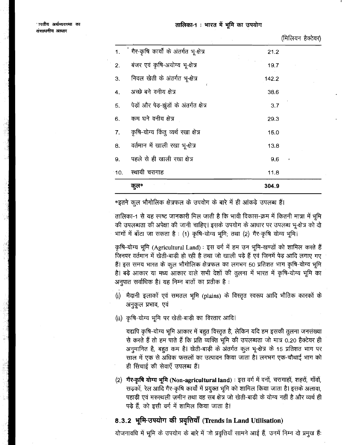(मिलियन हैक्टेयर)

|        | कुल*                                     | 304.9 |   |
|--------|------------------------------------------|-------|---|
| $-10.$ | स्थायी चरागाह                            | 11.8  |   |
| 9.     | पहले से ही खाली रखा क्षेत्र              | 9,6   | × |
| 8.     | वर्तमान में खाली रखा भू-क्षेत्र          | 13.8  |   |
| 7.     | कृषि-योग्य किंतु व्यर्थ रखा क्षेत्र      | 15.0  |   |
| 6.     | कम घने वनीय क्षेत्र                      | 29.3  |   |
| 5.     | पेड़ों और पेड़-झूंडों के अंतर्गत क्षेत्र | 3.7   |   |
| 4.     | अच्छे बने वनीय क्षेत्र                   | 38.6  |   |
| 3.     | निवल खेती के अंतर्गत भू-क्षेत्र          | 142.2 |   |
| 2.     | बंजर एवं कृषि-अयोग्य भू-क्षेत्र          | 19.7  |   |
| 1.     | ं गैर-कृषि कार्यों के अंतर्गत भू-क्षेत्र | 21.2  |   |

\*इतने कूल भौगोलिक क्षेत्रफल के उपयोग के बारे में ही आंकड़े उपलब्ध हैं।

तालिका-1 से यह स्पष्ट जानकारी मिल जाती है कि भावी विकास-क्रम में कितनी मात्रा में भूमि की उपलब्धता की अपेक्षा की जानी चाहिए। इसके उपयोग के आधार पर उपलब्ध भू-क्षेत्र को दो भागों में बाँटा जा सकता है: (1) कृषि-योग्य भूमि; तथा (2) गैर-कृषि योग्य भूमि।

कृषि-योग्य भूमि (Agricultural Land): इस वर्ग में हम उन भूमि-खण्डों को शामिल करते हैं जिनपर वर्तमान में खेती-बाड़ी हो रही है तथा जो खाली पड़े हैं एवं जिनमें पेड़ आदि लगाए गए हैं। इस समय भारत के कुल भौगोलिक क्षेत्रफल का लगभग 50 प्रतिशत भाग कृषि-योग्य भूमि है। बड़े आकार या मध्य आकार वाले सभी देशों की तुलना में भारत में कृषि-योग्य भूमि का अनुपात सर्वाधिक है। यह निम्न बातों का प्रतीक है:

- (i) मैदानी इलाकों एवं समतल भूमि (plains) के विस्तृत स्वरूप आदि भौतिक कारकों के अनुकूल प्रभाव, एवं
- (ii) कृषि-योग्य भूमि पर खेती-बाड़ी का विस्तार आदि।

यद्यपि कृषि-योग्य भूमि आकार में बहुत विस्तृत है, लेकिन यदि हम इसकी तुलना जनसंख्या से करते हैं तो हम पाते हैं कि प्रति व्यक्ति भूमि की उपलब्धता जो मात्र 0.20 हैक्टेयर ही अनुमानित है, बहुत कम है। खेती-बाड़ी के अंतर्गत कुल भू-क्षेत्र के 15 प्रतिशत भाग पर साल में एक से अधिक फसलों का उत्पादन किया जाता है। लगभग एक-चौथाई भाग को ही सिंचाई की सेवाएँ उपलब्ध हैं।

(2) गैर-कृषि योग्य भूमि (Non-agricultural land) : इस वर्ग में वनों, चरागाहों, शहरों, गाँवों, सड़कों, रेल आदि गैर-कृषि कार्यों में प्रयुक्त भूमि को शामिल किया जाता है। इसके अलावा, पहाड़ी एवं मरुस्थली ज़मीन तथा वह सब क्षेत्र जो खेती-बाड़ी के योग्य नहीं है और व्यर्थ ही पड़े हैं, को इसी वर्ग में शामिल किया जाता है।

## 8.3.2 भूमि-उपयोग की प्रवृत्तियाँ (Trends in Land Utilisation)

योजनावधि में भूमि के उपयोग के बारे में जो प्रवृत्तियाँ सामने आई हैं, उनमें निम्न दो प्रमुख हैं: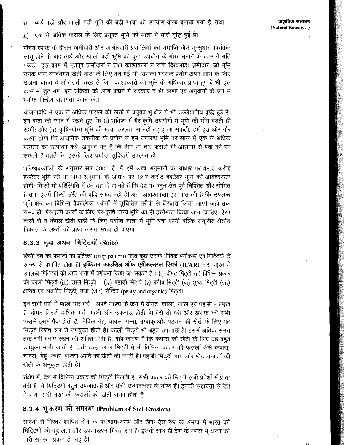प्राकृतिक संसाधन (Natural Resources)

व्यर्थ पड़ी और खाली पड़ी भूमि की बड़ी मात्रा को उपयोग-योग्य बनाया गया है, तथा  $\mathbf{i}$ 

एक से अधिक फसल के लिए प्रयुक्त भूमि की मात्रा में भारी वृद्धि हुई है। ii)

पाँचवें दशक के दौरान ज़मींदारी और जागीरदारी प्रणालियों की समाप्ति जैसे भू-सुधार कार्यक्रम लागू होने के बाद व्यर्थ और खाली पड़ी भूमि को पुनः उपयोग के योग्य बनाने के काम ने गति पकड़ी। इस काम में भूतपूर्व ज़मींदारों ने तथा काश्तकारों ने रुचि दिखलाई। ज़मींदार, जो भूमि उनके पास व्यक्तिगत खेती-बाड़ी के लिए बच गई थी, उसका भरसक प्रयोग अपने लाभ के लिए उठाना चाहते थे और इसी तरह से जिन काश्तकारों को भूमि के अधिकार प्राप्त हुए वे भी इस काम में जुट गए। इस प्रक्रिया को आगे बढ़ाने में सरकार ने भी ऋणों एवं अनुदानों के रूप में पर्याप्त वित्तीय सहायता प्रदान की।

योजनावधि में एक से अधिक फसल की खेती में प्रयुक्त भू-क्षेत्र में भी उल्लेखनीय वृद्धि हुई है। इन बातों को ध्यान में रखते हुए कि (i) भविष्य में गैर-कृषि उपयोगों में भूमि की माँग बढ़ती ही रहेगी; और (ii) कृषि-योग्य भूमि की मात्रा सरलता से नहीं बढ़ाई जा सकती, हमें इस ओर ग़ौर करना होगा कि आधुनिक तकनीक के प्रयोग से हम उपलब्ध भूमि पर साल में एक से अधिक फसलों का उत्पादन करें। अनुभव यह है कि तीन या चार फसलें भी आसानी से पैदा की जा सकती हैं बशर्ते कि इसके लिए पर्याप्त सुविधाएँ उपलब्ध हों।

भविष्यवक्ताओं के अनुसार सन 2000 ई. में हमें उच्च अनुमानों के आधार पर 46.2 करोड़ हेक्टेयर भूमि की या निम्न अनुमानों के आधार पर 42.7 करोड़ हेक्टेयर भूमि की आवश्यकता होगी। किसी भी परिस्थिति में हम यह तो जानते हैं कि देश का कूल क्षेत्र पूर्व-निश्चित और सीमित है तथा इसमें किसी तरह की वृद्धि संभव नहीं है। अतः आवश्यकता इस बात की है कि उपलब्ध भूमि क्षेत्र का विभिन्न वैकल्पिक प्रयोगों में सुचिंतित तरीके से बँटवारा किया जाए। जहाँ तक संभव हो, गैर-कृषि कार्यों के लिए गैर-कृषि योग्य भूमि का ही इस्तेमाल किया जाना चाहिए। ऐसा करने से न केवल खेती-बाड़ी के लिए पर्याप्त मात्रा में भूमि बची रहेगी बल्कि संतुलित क्षेत्रीय विकास के लक्ष्यों को प्राप्त करना संभव हो पाएगा।

## 8.3.3 मृदा अथवा मिटि्टयाँ (Soils)

किसी देश का फसलों का प्रतिरूप (crop pattern) बहुत कुछ उसके भौतिक पर्यावरण एवं मिटिटयों के रवरूप से प्रभावित होता है। इण्डियन काउंसिल ऑफ एग्रीकल्चरल रिसर्च (ICAR) द्वारा भारत में उपलब्ध मिटिटयों को आठ भागों में वर्गीकृत किया जा सकता है : (i) दोमट मिटटी (ii) विभिन्न प्रकार की काली मिटटी (iii) लाल मिट्टी (iv) पहाड़ी मिट्टी (v) वनीय मिटटी (vi) शुष्क मिटटी (vii) क्षारीय एवं लवणीय मिट्टी, तथा (viii) सेन्द्रिय (peaty and organic) मिट्टी।

इन सभी वर्गों में पहले चार वर्ग - अपने महत्व के क्रम में दोमट, काली, लाल एवं पहाड़ी - प्रमुख हैं। दोमट मिट्टी अधिक गर्म, गहरी और उपजाऊ होती है। वैसे तो रबी और खरीफ की सभी फसलें इसमें पैदा होती हैं, लेकिन गेहूं, चावल, गन्ना, तम्बाकू और पटसन की खेती के लिए यह मिट्टी विशेष रूप से उपयुक्त होती है। काली मिट्टी भी बहुत उपजाऊ है। इसमें अधिक समय तक नमी बनाए रखने की शक्ति होती है। यही कारण है कि कपास की खेती के लिए यह बहुत उपयुक्त मानी जाती है। इसी तरह, लाल मिट्टी में भी विभिन्न प्रकार की फसलों जैसे कपास, चावल, गेहूं, ज्वार, बाजरा आदि की खेती की जाती है। पहाड़ी मिट्टी चाय और मोटे अनाजों की खेती के अनुकूल होती है।

संक्षेप में, देश में विभिन्न प्रकार की मिट्टी मिलती है। सभी प्रकार की मिट्टी सभी प्रदेशों में प्रायः बँटी है। ये मिटि्टयाँ बहुत उपजाऊ हैं और ऊंची उत्पादकता के योग्य हैं। इनकी सहायता से देश में प्रायः सभी तरह की फसलों की खेती संभव होती है।

# 8.3.4 भू-क्षरण की समस्या (Problem of Soil Erosion)

सदियों से निरंतर शोषित होने के परिणामस्वरूप और ठीक देख-रेख के अभाव में भारत की मिटि्टयों की कुशलता और उपजाऊपन गिरता रहा है। इसके साथ ही देश के समक्ष भू-क्षरण की भारी समस्या प्रकट हो गई है।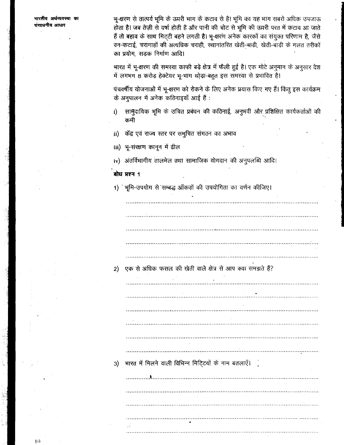भारतीय अर्थव्ययस्था का संसाधनीय आधार

भू-क्षरण से तात्पर्य भूमि के ऊपरी भाग के कटाव से है। भूमि का यह भाग सबसे अधिक उपजाऊ होता है। जब तेज़ी से वर्षा होती है और पानी की चोट से भूमि की ऊपरी परत में कटाव आ जाते हैं तो बहाव के साथ मिटटी बहने लगती है। भू-क्षरण अनेक कारकों का संयुक्त परिणाम है, जैसे वन-कटाई, चरागाहों की अत्यधिक चराही, ख्यानांतरित खेती-बाड़ी, खेती-बाड़ी के गलत तरीकों का प्रयोग, सड़क निर्माण आदि।

भारत में भू-क्षरण की समरया काफी बड़े क्षेत्र में फैली हुई है। एक मोटे अनूमान के अनूसार देश में लगभग 8 करोड़ हेक्टेयर भू-भाग थोड़ा-बहुत इस समस्या से प्रभावित है।

पंचवर्षीय योजनाओं में भू-क्षरण को रोकने के लिए अनेक प्रयास किए गए हैं। किंतु इस कार्यक्रम के अनुपालन में अनेक कठिनाइयाँ आई हैं:

- सामुदायिक भूमि के उचित प्रबंधन की कठिनाई, अनुभवी और प्रशिक्षित कार्यकर्ताओं की j) कमी
- ii) केंद्र एवं राज्य स्तर पर समुचित संगठन का अभाव

iii) भू-संरक्षण कानून में ढील

iv) अंतर्विभागीय तालमेल तथा सामाजिक योगदान की अनुपलब्धि आदि।

### बोध प्रश्न 1

1) भूमि-उपयोग से सम्बद्ध आँकड़ों की उपयोगिता का वर्णन कीजिए।

एक से अधिक फसल की खेती वाले क्षेत्र से आप क्या समझते हैं? 2)

भारत में मिलने वाली विभिन्न मिटि्टयों के नाम बतलाएँ।  $3)$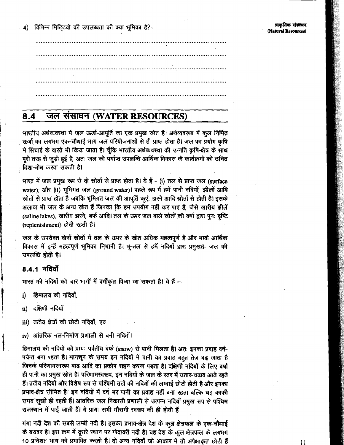$4)$ विभिन्न मिटिटयों की उपलब्धता की क्या भूमिका है?

### जल संसाधन (WATER RESOURCES)  $8.4$

भारतीय अर्थव्यवस्था में जल ऊर्जा-आपूर्ति का एक प्रमुख स्रोत है। अर्थव्यवस्था में कुल निर्मित ऊर्जा का लगभग एक-चौथाई भाग जल परियोजनाओं से ही प्राप्त होता है। जल का प्रयोग कृषि में सिंचाई के वास्ते भी किया जाता है। चूँकि भारतीय अर्थव्यवस्था की उन्नति कृषि-क्षेत्र के साथ पुरी तरह से जुड़ी हुई है, अतः जल की पर्याप्त उपलब्धि आर्थिक विकास के कार्यक्रमों को उचित दिशा-बोध करवा सकती है।

भारत में जल प्रमुख रूप से दो स्रोतों से प्राप्त होता है। ये हैं - (i) तल से प्राप्त जल (surface water); और (ii) भूमिगत जल (ground water)। पहले रूप में हमें पानी नदियों, झीलों आदि स्रोतों से प्राप्त होता है जबकि भूमिगत जल की आपूर्ति कुएं, झरने आदि स्रोतों से होती है। इसके अलावा भी जल के अन्य स्रोत हैं जिनका कि हम उपयोग नहीं कर पाए हैं, जैसे खारीय झीलें (saline lakes), खारीय झरने, बर्फ आदि। तल के ऊपर जल वाले स्रोतों की वर्षा द्वारा पुनः वृष्टि (replenishment) होती रहती है।

जल के उपरोक्त दोनों स्रोतों में तल के ऊपर के स्रोत अधिक महत्वपूर्ण हैं और भावी आर्थिक विकास में इन्हें महत्वपूर्ण भूमिका निभानी है। भू-तल से हमें नदियों द्वारा प्रमुखतः जल की उपलब्धि होती है।

## 8.4.1 नदियाँ

भारत की नदियों को चार भागों में वर्गीकृत किया जा सकता है। ये हैं --

- हिमालय की नदियाँ. i)
- दक्षिणी नदियाँ ii)
- iii) तटीय क्षेत्रों की छोटी नदियाँ; एवं
- iv) आंतरिक नल-निर्माण प्रणाली से बनी नदियाँ।

हिमालय की नदियों को प्रायः पर्वतीय बर्फ (snow) से पानी मिलता है। अतः इनका प्रवाह वर्ष-पर्यन्त बना रहता है। मानसून के समय इन नदियों में पानी का प्रवाह बहुत तेज़ बढ़ जाता है जिनके परिणामस्वरूप बाढ़ आदि का प्रकोप सहन करना पड़ता है। दक्षिणी नदियों के लिए वर्षा ही पानी का प्रमुख स्रोत है। परिणामस्वरूप, इन नदियों के जल के स्तर में उतार-चढ़ाव आते रहते हैं। तटीय नदियों और विशेष रूप से पश्चिमी तटों की नदियों की लम्बाई छोटी होती है और इनका प्रभाव-क्षेत्र सीमित है। इन नदियों में वर्ष भर पानी का प्रवाह नहीं बना रहता बल्कि यह काफी समय सूखी ही रहती हैं। आंतरिक जल निकासी प्रणाली से उत्पन्न नदियाँ प्रमुख रूप से पश्चिम राजस्थान में पाई जाती हैं। ये प्रायः सभी मौसमी स्वरूप की ही होती हैं।

गंगा नदी देश की सबसे लम्बी नदी है। इसका प्रभाव-क्षेत्र देश के कुल क्षेत्रफल के एक-चौथाई के बराबर है। इस क्रम में दूसरे स्थान पर गोदावरी नदी है। यह देश के कुल क्षेत्रफल के लगभग 10 प्रतिशत भाग को प्रभावित करती है। दो अन्य नदियाँ जो आकार में तो अपेक्षाकृत छोटी हैं

11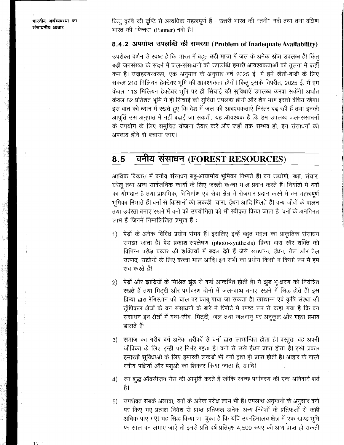किंतू कृषि की दृष्टि से अत्यधिक महत्वपूर्ण हैं - उत्तरी भारत की ''तवी'' नदी तथा तथा दक्षिण भारत की "पेन्नर" (Panner) नदी है।

# 8.4.2 अपर्याप्त उपलब्धि की समस्या (Problem of Inadequate Availability)

उपरोक्त वर्णन से स्पष्ट है कि भारत में बहुत बड़ी मात्रा में जल के अनेक स्रोत उपलब्ध हैं। किंतु बड़ी जनसंख्या के संदर्भ में जल-संसाधनों की उपलब्धि हमारी आवश्यकताओं की तुलना में कहीं कम है। उदाहरणस्वरूप, एक अनुमान के अनुसार वर्ष 2025 ई. में हमें खेती-बाड़ी के लिए सकल 210 मिलियन हेक्टेयर भूमि की आवश्यकता होगी। किंतु इसके विपरीत, 2025 ई. में हम केवल 113 मिलियन हेक्टेयर भूमि पर ही सिंचाई की सुविधाएँ उपलब्ध करवा सकेंगे। अर्थात केवल 52 प्रतिशत भूमि में ही सिंचाई की सुविधा उपलब्ध होगी और शेष भाग इससे वंचित रहेगा। इस बात को ध्यान में रखते हुए कि देश में जल की आवश्यकताएँ निरंतर बढ़ रही हैं तथा इनकी आपूर्ति उस अनुपात में नहीं बढ़ाई जा सकती, यह आवश्यक है कि हम उपलब्ध जल-संसाधनों के उपयोग के लिए समुचित योजना तैयार करें और जहाँ तक सम्भव हो, इन संसाधनों को अपव्यय होने से बचाया जाए।

### वनीय संसाधन (FOREST RESOURCES) 8.5

आर्थिक विकास में वनीय संसाधन बहु-आयामीय भूमिका निभाते हैं। वन उद्योगों, रक्षा, संचार, घरेलू तथा अन्य सार्वजनिक कार्यों के लिए जरूरी कच्चा माल प्रदान करते हैं। निर्यातों में वनों का योगदान है तथा प्राथमिक, विनिर्माण एवं सेवा क्षेत्र में रोजगार प्रदान करने में वन महत्वपूर्ण भूमिका निभाते हैं। वनों से किसानों को लकड़ी, चारा, ईंधन आदि मिलते हैं। वन्य जीवों के पालन तथा उर्वरता बनाए रखने में वनों की उपयोगिता को भी स्वीकृत किया जाता है। वनों के अनगिनत लाभ हैं जिनमें निम्नलिखित प्रमुख हैं:

- पेड़ों के अनेक विविध प्रयोग संभव हैं। इसलिए इन्हें बहुत महत्व का प्राकृतिक संसाधन 1) समझा जाता है। पेड़ प्रकाश-संश्लेषण (photo-synthesis) क्रिया द्वारा सौर शक्ति को विभिन्न परोक्ष प्रकार की शक्तियों में बदल देते हैं जैसे खाद्यान्न, ईंधन, तेल और तेल उत्पाद, उद्योगों के लिए कच्चा माल आदि। इन सभी का प्रयोग किसी न किसी रूप में हम सब करते हैं।
- पेड़ों और झाड़ियों के मिश्रित झुंड से वर्षा आकर्षित होती है। ये झुंड भू-क्षरण को नियंत्रित 2) रखते हैं तथा मिट्टी और पर्यावरण दोनों में जल-वाष्प बनाए रखने में सिद्ध होते हैं। इस क्रिया द्वारा रेगिरतान की चाल पर काबू पाया जा सकता है। खाद्यान्न एवं कृषि संस्था की ट्रॉपिकल क्षेत्रों के वन संसाधनों के बारे में रिपोर्ट में स्पष्ट रूप से कहा गया है कि वन संसाधन इन क्षेत्रों में वन्य-जीव, मिट्टी, जल तथा जलवायु पर अनुकूल और गहरा प्रभाव डालते हैं।
- समाज का गरीब वर्ग अनेक तरीकों से वनों द्वारा लाभान्वित होता है। वस्तुतः वह अपनी  $3)$ जीविका के लिए इन्हीं पर निर्भर रहता है। वनों से उसे ईंधन प्राप्त होता है। इसी प्रकार इमारती सुविधाओं के लिए इमारती लकड़ी भी वनों द्वारा ही प्राप्त होती है। आहार के वारते वनीय पक्षियों और पशुओं का शिकार किया जाता है, आदि।
- वन शुद्ध ऑक्सीज़न गैस की आपूर्ति करते हैं जोकि स्वच्छ पर्यावरण की एक अनिवार्य शर्त  $4)$ है।
- उपरोक्त सबके अलावा, वनों के अनेक परोक्ष लाभ भी हैं। उपलब्ध अनुमानों के अनुसार वनों  $5)$ पर किए गए प्रत्यक्ष निवेश से प्राप्त प्रतिफल अनेक अन्य निवेशों के प्रतिफलों से कहीं अधिक पाए गए। यह सिद्ध किया जा चुका है कि यदि उप-हिमालय क्षेत्र में एक खण्ड भूमि पर साल वन लगाए जाएँ तो इनसे प्रति वर्ष प्रतिवृक्ष 4,500 रुपए की आय प्राप्त हो सकती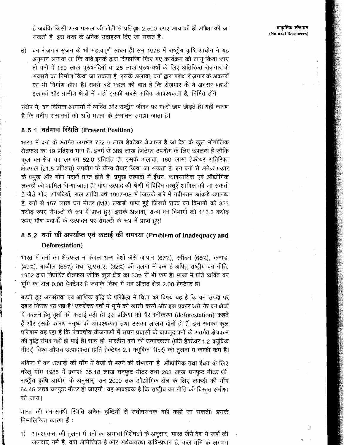है जबकि किसी अन्य फसल की खेती से प्रतिवृक्ष 2,500 रुपए आय की ही अपेक्षा की जा सकती है। इस तरह के अनेक उदाहरण दिए जा सकते हैं।

6) वन रोज़गार सृजन के भी महत्वपूर्ण साधन हैं। सन 1976 में राष्ट्रीय कृषि आयोग ने यह अनुमान लगाया था कि यदि इनके द्वारा सिफारिश किए गए कार्यक्रम को लागु किया जाए तो वनों में 150 लाख पुरुष-दिनों या 25 लाख पुरुष-वर्षों के लिए अतिरिक्त रोज़गार के अवसरों का निर्माण किया जा सकता है। इसके अलावा, वनों द्वारा परोक्ष रोज़गार के अवसरों का भी निर्माण होता है। सबसे बड़े महत्व की बात है कि रोज़गार के ये अवसर पहाड़ी इलाकों और ग्रामीण क्षेत्रों में जहाँ इनकी सबसे अधिक आवश्यकता है, निर्मित होंगे।

संक्षेप में, वन विभिन्न आयामों में व्यक्ति और राष्ट्रीय जीवन पर गहरी छाप छोड़ते हैं। यही कारण है कि वनीय संसाधनों को अति-महत्व के संसाधन समझा जाता है।

## 8.5.1 वर्तमान स्थिति (Present Position)

भारत में वनों के अंतर्गत लगभग 752.9 लाख हेक्टेयर क्षेत्रफल है जो देश के कूल भौगोलिक क्षेत्रफल का 19 प्रतिशत भाग है। इनमें से 389 लाख हेक्टेयर उपयोग के लिए उपलब्ध है जोकि कूल वन-क्षेत्र का लगभग 52.0 प्रतिशत है। इसके अलावा, 160 लाख हेक्टेयर अतिरिक्त क्षेत्रफल (21.5 प्रतिशत) उपयोग के योग्य तैयार किया जा सकता है। इन वनों से अनेक प्रकार के प्रमुख और गौण पदार्थ प्राप्त होते हैं। प्रमुख उत्पादों में ईंधन, व्यावसायिक एवं औद्योगिक लकड़ी को शामिल किया जाता है। गौण उत्पाद की श्रेणी में विविध वस्तूएँ शामिल की जा सकती हैं जैसे गोंद, औषधियाँ, राल आदि। वर्ष 1997-98 में जिसके बारे में नवीनतम आंकड़े उपलब्ध हैं, वनों से 157 लाख घन मीटर (M3) लकड़ी प्राप्त हुई जिससे राज्य वन विभागों को 353 करोड़ रुपए रॉयल्टी के रूप में प्राप्त हुए। इसके अलावा, राज्य वन विभागों को 113.2 करोड़ रूपए गौण पदार्थों के उत्पादन पर रॉयल्टी के रूप में प्राप्त हुए।

# 8.5.2 वनों की अपर्याप्त एवं कटाई की समस्या (Problem of Inadequacy and Deforestation)

भारत में वनों का क्षेत्रफल न केवल अन्य देशों जैसे जापान (67%), स्वीडन (68%), कनाड़ा (49%), ब्राजील (65%) तथा यू.एस.ए. (32%) की तुलना में कम है अपित् राष्ट्रीय वन नीति, 1952 द्वारा निर्धारित क्षेत्रफल जोकि कुल क्षेत्र का 33% से भी कम है। भारत में प्रति व्यक्ति वन भूमि का क्षेत्र 0.08 हेक्टेयर है जबकि विश्व में यह औसत क्षेत्र 2.08 हेक्टेयर है।

बढ़ती हुई जनसंख्या एवं आर्थिक वृद्धि के परिप्रेक्ष्य में चिंता का विषय यह है कि वन संपदा पर दबाव निरंतर बढ़ रहा है। उत्तरोत्तर वर्षों में भूमि को खाली करने और इस प्रकार उसे गैर वन क्षेत्रों में बदलने हेतु वृक्षों की कटाई बढ़ी है। इस प्रक्रिया को गैर-वनीकरण (deforestation) कहते हैं और इसके कारण मनुष्य की आवश्यकता तथा उसका लालच दोनों ही हैं। इस सबका कुल परिणाम यह रहा है कि पंचवर्षीय योजनाओं में सघन प्रयासों के बावजूद वनों के अंतर्गत क्षेत्रफल की वृद्धि संभव नहीं हो पाई है। साथ ही, भारतीय वनों की उत्पादकता (प्रति हेक्टेयर 1.2 क्यूबिक मीटर) विश्व औसत उत्पादकता (प्रति हेक्टेयर 2.1 क्यूबिक मीटर) की तुलना में काफी कम है।

भविष्य में वन उत्पादों की माँग में तेजी से बढ़ने की संभावना है। औद्योगिक तथा ईंधन के लिए धरेलू माँग 1985 में क्रमशः 35.18 लाख घनफुट मीटर तथा 202 लाख घनफुट मीटर थी। राष्ट्रीय कृषि आयोग के अनुसार, सन 2000 तक औद्योगिक क्षेत्र के लिए लकड़ी की माँग 64.45 लाख घनफुट मीटर हो जाएगी। यह आवश्यक है कि राष्ट्रीय वन नीति की विरतृत समीक्षा की जाय।

भारत की वन-संबंधी स्थिति अनेक दृष्टियों से संतोषजनक नहीं कही जा सकती। इसके निम्नलिखित कारण हैं :

आवश्यकता की तुलना में वनों का अभाव। विशेषज्ञों के अनुसार, भारत जैसे देश में जहाँ की  $\left\langle \right\rangle$ जलवायु गर्म है, वर्षा अनिश्चित है और अर्थव्यवस्था कृषि-प्रधान है, कुल भूमि के लगभग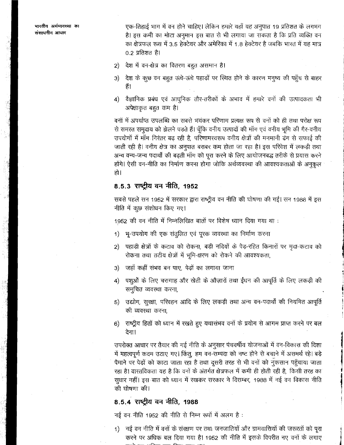भारतीय अर्थव्यवस्था का संसाधनीय आधार

एक-तिहाई भाग में वन होने चाहिए। लेकिन हमारे यहाँ यह अनुपात 19 प्रतिशत के लगभग है। इस कमी का मोटा अनुमान इस बात से भी लगाया जा सकता है कि प्रति व्यक्ति वन का क्षेत्रफल रूस में 3.5 हेक्टेयर और अमेरिका में 1.8 हेक्टेयर है जबकि भारत में यह मात्र  $0.2$  प्रतिशत है।

- 2) देश में वन-क्षेत्र का वितरण बहुत असमान है।
- देश के कुछ वन बहुत ऊंचे-ऊंचे पहाड़ों पर स्थित होने के कारण मनुष्य की पहुँच से बाहर 3) है।
- 4) वैज्ञानिक प्रबंध एवं आधुनिक तौर-तरीकों के अभाव में हमारे वनों की उत्पादकता भी अपेक्षाकृत बहुत कम है।

वनों में अपर्याप्त उपलब्धि का सबसे भयंकर परिणाम प्रत्यक्ष रूप से वनों को ही तथा परोक्ष रूप से समस्त समुदाय को झेलने पड़ते हैं। चूँकि वनीय उत्पादों की माँग एवं वनीय भूमि की गैर-वनीय उपयोगों में माँग निरंतर बढ़ रही है, परिणामरवरूप वनीय क्षेत्रों की मनमानी ढंग से सफाई की जाती रही है। वनीय क्षेत्र का अनुपात बराबर कम होता जा रहा है। इस परिवेश में लकड़ी तथा अन्य वन्य-जन्य पदार्थों की बढ़ती माँग को पूरा करने के लिए आयोजनबद्ध तरीके से प्रयास करने होंगे। ऐसी वन-नीति का निर्माण करना होगा जोकि अर्थव्यवस्था की आवश्यकताओं के अनुकूल हो।

## 8.5.3 राष्ट्रीय वन नीति, 1952

सबसे पहले सन 1952 में सरकार द्वारा राष्ट्रीय वन नीति की घोषणा की गई। सन 1988 में इस नीति में कुछ संशोधन किए गए।

1952 की वन नीति में निम्नलिखित बातों पर विशेष ध्यान दिया गया था :

- 1) भू-उपयोग की एक संतुलित एवं पूरक व्यवस्था का निर्माण करना
- पहाड़ी क्षेत्रों के कटाव को रोकना, बड़ी नदियों के पेड़-रहित किनारों पर मृदा-कटाव को  $2)$ रोकना तथा तटीय क्षेत्रों में भूमि-क्षरण को रोकने की आवश्यकता,
- जहाँ कहीं संभव बन पाए, पेड़ों का लगाया जाना  $3)$
- पशुओं के लिए चरागाह और खेती के औज़ारों तथा ईंधन की आपूर्ति के लिए लकड़ी की  $4)$ समूचित व्यवस्था करना,
- उद्योग, सुरक्षा, परिवहन आदि के लिए लकड़ी तथा अन्य वन-पदार्थों की नियमित आपूर्ति 5) की व्यवस्था करना.
- 6) राष्ट्रीय हितों को ध्यान में रखते हुए यथासंभव वनों के प्रयोग से आगम प्राप्त करने पर बल देना।

उपरोक्त आधार पर तैयार की गई नीति के अनुसार पंचवर्षीय योजनाओं में वन-विकास की दिशा में महत्वपूर्ण कदम उठाए गए। किंतु, हम वन-सम्पदा को नष्ट होने से बचाने में असमर्थ रहे। बड़े पैमाने पर पेड़ों को काटा जाता रहा है तथा दूसरी तरह से भी वनों को नुकसान पहुँचाया जाता रहा है। वारतविकता यह है कि वनों के अंतर्गत क्षेत्रफल में कमी ही होती रही है, किसी तरह का सुधार नहीं। इस बात को ध्यान में रखकर सरकार ने दिसम्बर, 1988 में नई वन विकास नीति की घोषणा की।

## 8.5.4 राष्ट्रीय वन नीति, 1988

नई वन नीति 1952 की नीति से निम्न रूपों में अलग है:

1) नई वन नीति में वनों के संरक्षण पर तथा जनजातियों और ग्रामवासियों की जरूरतों को पूरा करने पर अधिक बल दिया गया है। 1952 की नीति में इसके विपरीत नए वनों के लगाए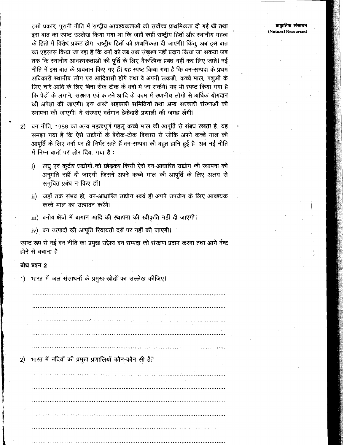प्राकृतिक संसाधन (Natural Resources)

इसी प्रकार, पुरानी नीति में राष्ट्रीय आवश्यकताओं को सर्वोच्च प्राथमिकता दी गई थी तथा इस बात का स्पष्ट उल्लेख किया गया था कि जहाँ कहीं राष्ट्रीय हितों और स्थानीय महत्व के हितों में विरोध प्रकट होगा राष्ट्रीय हितों को प्राथमिकता दी जाएगी। किंतु, अब इस बात का एहसास किया जा रहा है कि वनों को तब तक संरक्षण नहीं प्रदान किया जा सकता जब तक कि स्थानीय आवश्यकताओं की पूर्ति के लिए वैकल्पिक प्रबंध नहीं कर लिए जाते। नई नीति में इस बात के प्रावधान किए गए हैं। यह स्पष्ट किया गया है कि वन-सम्पदा के प्रथम अधिकारी रथानीय लोग एवं आदिवासी होंगे तथा वे अपनी लकड़ी, कच्चे माल, पशुओं के लिए चारे आदि के लिए बिना रोक-टोक के वनों में जा सकेंगे। यह भी स्पष्ट किया गया है कि पेड़ों के लगाने, संरक्षण एवं काटने आदि के काम में स्थानीय लोगों से अर्धिक योगदान की अपेक्षा की जाएगी। इस वारते सहकारी समितियों तथा अन्य सरकारी संस्थाओं की स्थापना की जाएगी। ये संस्थाएं वर्तमान ठेकेदारी प्रणाली की जगह लेंगी।

- वन नीति, 1988 का अन्य महत्वपूर्ण पहलू कच्चे माल की आपूर्ति से संबध रखता है। यह  $\cdot$  2) समझा गया है कि ऐसे उद्योगों के बेरोक-टोक विकास से जोकि अपने कच्चे माल की आपूर्ति के लिए वनों पर ही निर्भर रहते हैं वन-सम्पदा की बहुत हानि हुई है। अब नई नीति में निम्न बातों पर जोर दिया गया है:
	- लघु एवं कूटीर उद्योगों को छोड़कर किसी ऐसे वन-आधारित उद्योग की स्थापना की  $i)$ अनुमति नहीं दी जाएगी जिसने अपने कच्चे माल की आपूर्ति के लिए अलग से समुचित प्रबंध न किए हों।
	- ii) जहाँ तक संभव हो, वन-आधारित उद्योग स्वयं ही अपने उपयोग के लिए आवश्यक कच्चे माल का उत्पादन करेंगे।
	- iii) वनीय क्षेत्रों में बागान आदि की स्थापना की स्वीकृति नहीं दी जाएगी।
	- iv) वन उत्पादों की आपूर्ति रियायती दरों पर नहीं की जाएगी।

रपष्ट रूप से नई वन नीति का प्रमुख उद्देश्य वन सम्पदा को संरक्षण प्रदान करना तथा आगे नष्ट होने से बचाना है।

## बोध प्रश्न 2

भारत में जल संसाधनों के प्रमुख स्रोतों का उल्लेख कीजिए।  $1)$ 

भारत में नदियों की प्रमुख प्रणालियाँ कौन-कौन सी हैं?  $2)$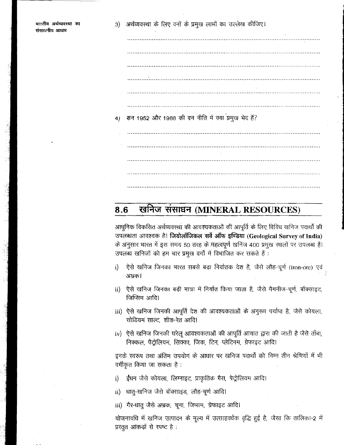सन 1952 और 1988 की वन नीति में क्या प्रमुख भेद हैं?  $4)$ 

### खनिज संसाधन (MINERAL RESOURCES)  $8.6$

आधुनिक विकसित अर्थव्यवस्था की आवश्यकताओं की आपूर्ति के लिए विविध खनिज पदार्थों की उपलब्धता आवश्यक है। जियोलॉजिकल सर्वे ऑफ इण्डिया (Geological Survey of India) के अनुसार भारत में इस समय 50 तरह के महत्वपूर्ण खनिज 400 प्रमुख स्थलों पर उपलब्ध हैं। उपलब्ध खनिजों को हम चार प्रमुख वर्गों में विभाजित कर सकते हैं :

- ऐसे खनिज जिनका भारत सबसे बड़ा निर्यातक देश है, जैसे लौह-चूर्ण (iron-ore) एवं  $i)$ अभ्रक।
- ii) ऐसे खनिज जिनका बड़ी मात्रा में निर्यात किया जाता है, जैसे मैगनीज-चूर्ण, बॉक्साइट, जिप्सिम आदि।
- iii) ऐसे खनिज जिनकी आपूर्ति देश की आवश्यकताओं के अनुरूप पर्याप्त है, जैसे कोयला, सोडियमं साल्ट, शीश-रेत आदि।
- iv) ऐसे खनिज जिनकी घरेलू आवश्यकताओं की आपूर्ति आयात द्वारा की जाती है जैसे ताँबा, निक्कल, पैद्रोलियम, सिक्का, जिंक, टिन, प्लेटिनम, ग्रेफाइट आदि।

इनके स्वरूप तथा अंतिम उपयोग के आधार पर खनिज पदार्थों को निम्न तीन श्रेणियों में भी वर्गीकृत किया जा सकता है :

- ईधन जैसे कोयला, लिग्नाइट, प्राकृतिक गैस, पेट्रोलियम आदि।  $\mathbf{i}$
- ii) धातु-खनिज जैसे बॉक्साइड, लौह-चूर्ण आदि।
- iii) गैर-धातु जैसे अभ्रक, चूना, जिप्सम, ग्रेफाइट आदि।

योजनावधि में खनिज उत्पादन के मूल्य में उत्साहवर्धक वृद्धि हुई है, जैसा कि तालिका-2 में प्रस्तुत आंकड़ों से रपष्ट है: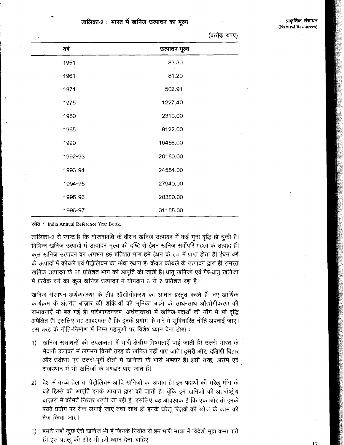### तालिका-2 : भारत में खनिज उत्पादन का मत्य

|         | .<br>.,       |  |
|---------|---------------|--|
| वर्ष    | उत्पादन-मूल्य |  |
| 1951    | 83.30         |  |
| 1961    | 81.20         |  |
| 1971    | 502.91        |  |
| 1975    | 1227.40       |  |
| 1980    | 2310.00       |  |
| 1985    | 9122.00       |  |
| 1990    | 16456.00      |  |
| 1992-93 | 20180.00      |  |
| 1993-94 | 24554.00      |  |
| 1994-95 | 27940.00      |  |
| 1995-96 | 28350.00      |  |
| 1996-97 | 31185.00      |  |

(करोड रुपए)

स्रोत: India Annual Reference Year Book.

तालिका-2 से स्पष्ट है कि योजनावधि के दौरान खनिज उत्पादन में कई गूना वृद्धि हो चूकी है। विभिन्न खनिज उत्पादों में उत्पादन-मूल्य की दृष्टि से ईंधन खनिज सर्वोपरि महत्व के उत्पाद हैं। कुल खनिज उत्पादन का लगभग 85 प्रतिशत भाग हमें ईंधन के रूप में प्राप्त होता है। ईंधन वर्ग के उत्पादों में कोयले एवं पेट्रोलियम का ऊंचा स्थान है। केवल कोयले के उत्पादन द्वारा ही समरत खनिज उत्पादन के 55 प्रतिशत भाग की आपूर्ति की जाती है। धातू खनिजों एवं गैर-धातू खनिजों में प्रत्येक वर्ग का कूल खनिज उत्पादन में योगदान 6 से 7 प्रतिशत रहा है।

खनिज संसाधन अर्थव्यवस्था के तीव्र औद्योगीकरण का आधार प्रस्तुत करते हैं। नए आर्थिक कार्यक्रम के अंतर्गत बाज़ार की शक्तियों की भूमिका बढ़ने के साथ-साथ औद्योगीकरण की रांभावनाएँ भी बढ़ गई हैं। परिणामस्वरूप, अर्थव्यवस्था में खनिज-पदार्थों की माँग में भी वृद्धि अपेक्षित है। इसलिए यह आवश्यक है कि इनके प्रयोग के बारे में सुविचारित नीति अपनाई जाए। इस तरह के नीति-निर्माण में निम्न पहलूओं पर विशेष ध्यान देना होगा :

- खनिज संसाधनों की उपलब्धता में भारी क्षेत्रीय विषमताएँ पाई जाती हैं। उत्तरी भारत के  $1)$ मैदानी इलाकों में लगभग किसी तरह के खनिज नहीं पाए जाते। दूसरी ओर, दक्षिणी बिहार और उड़ीसा एवं उत्तरी-पूर्वी क्षेत्रों में खनिजों के भारी भण्डार हैं। इसी तरह, असम एवं राजस्थान में भी खनिजों के भण्डार पाए जाते हैं।
- देश में कच्चे तेल या पेट्रोलियम आदि खनिजों का अभाव है। इन पदार्थों की घरेलू माँग के 2) बड़े हिरसे की आपूर्ति इनके आयात द्वारा की जाती है। चूँकि इन खनिजों की अंतर्राष्ट्रीय बाज़ारों में कीमतें निरंतर बढती जा रही हैं. इसलिए यह आवश्यक है कि एक ओर तो इनके बढ़ते प्रयोग पर रोक लगाई जाए तथा साथ ही इनके घरेलू रिज़र्वों की खोज के काम को तेज़ किया जाए।
- हमारे यहाँ कूछ ऐसे खनिज भी हैं जिनके निर्यात से हम भारी मात्रा में विदेशी मुद्रा कमा पाते  $\mathbb{C}^{\setminus}$ हैं। इस पहलू की ओर भी हमें ध्यान देना चाहिए।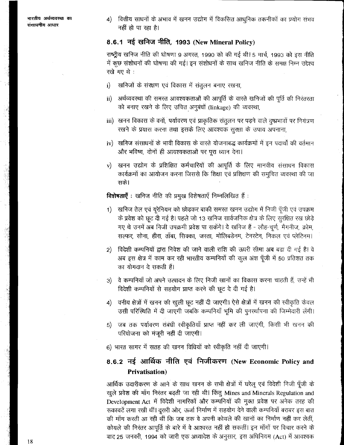4) वित्तीय साधनों के अभाव में खनन उद्योग में विकसित आधुनिक तकनीकों का प्रयोग संभव नहीं हो पा रहा है।

# 8.6.1 नई खनिज नीति, 1993 (New Mineral Policy)

राष्ट्रीय खनिज नीति की घोषणा 9 अगस्त, 1990 को की गई थी। 5 मार्च, 1993 को इस नीति में कुछ संशोधनों की घोषणा की गई। इन संशोधनों के साथ खनिज नीति के समक्ष निम्न उद्देश्य रखे गए थे :

- खनिजों के संख्क्षण एवं विकास में संतुलन बनाए रखना,  $\mathbf{i}$
- $\mathbf{ii}$ अर्थव्यवस्था की समरत आवश्यकताओं की आपूर्ति के वारते खनिजों की पूर्ति की निरंतरता को बनाए रखने के लिए उचित अनुबंधों (linkage) की व्यवस्था,
- iii) खनन विकास के वनों, पर्यावरण एवं प्राकृतिक संतुलन पर पड़ने वाले दृष्प्रभावों पर नियंत्रण रखने के प्रयास करना तथा इसके लिए आवश्यक सुरक्षा के उपाय अपनाना,
- iv) खनिज संसाधनों के भावी विकास के वारते योजनाबद्ध कार्यक्रमों में इन पदार्थों की वर्तमान और भविष्य, दोनों ही आवश्यकताओं पर पूरा ध्यान देना।
- खनन उद्योग के प्रशिक्षित कर्मचारियों की आपूर्ति के लिए मानवीय संसाधन विकास  $\mathbf{v}$ कार्यक्रमों का आयोजन करना जिससे कि शिक्षा एवं प्रशिक्षण की समुचित व्यवस्था की जा सके।

विशेषताएँ : खनिज नीति की प्रमुख विशेषताएँ निम्नलिखित हैं :

- खनिज तेल एवं यूरेनियम को छोड़कर बाकी समरत खनन उद्योग में निजी पूँजी एवं उपक्रम 1) -के प्रवेश को छूट दी गई है। पहले जो 13 खनिज सार्वजनिक क्षेत्र के लिए सुरक्षित रख छोड़े गए थे उनमें अब निजी उपक्रमी प्रवेश पा सकेंगे। ये खनिज हैं - लौह-चुर्ण, मैगनीज, क्रोम, सल्फर, सोना, हीरा, ताँबा, सिक्का, जस्ता, मोलिबडेनम, टेनस्टेन, निकल एवं प्लेटिनम।
- विदेशी कम्पनियों द्वारा निवेश की जाने वाली राशि की ऊपरी सीमा अब बढा दी गई है। वे  $(2)$ अब इस क्षेत्र में काम कर रही भारतीय कम्पनियों की कुल अंश पूँजी में 50 प्रतिशत तक का योगदान दे सकती हैं।
- वे कम्पनियाँ जो अपने उत्पादन के लिए निजी खानों का विकास करना चाहती हैं, उन्हें भी  $3)$ विदेशी कम्पनियों से सहयोग प्राप्त करने की छूट दे दी गई है।
- 4) वनीय क्षेत्रों में खनन की खुली छूट नहीं दी जाएगी। ऐसे क्षेत्रों में खनन की स्वीकृति केवल उसी परिस्थिति में दी जाएगी जबकि कम्पनियाँ भूमि की पुनर्खापना की जिम्मेदारी लेंगी।
- 5) जब तक पर्यावरण संबंधी स्वीकृतियाँ प्राप्त नहीं कर ली जाएंगी, किसी भी खनन की परियोजना को मंजूरी नहीं दी जाएगी।
- 6) भारत सागर में सतह की खनन विधियों को स्वीकृति नहीं दी जाएगी।

# 8.6.2 नई आर्थिक नीति एवं निजीकरण (New Economic Policy and **Privatisation**)

आर्थिक उदारीकरण के आने के साथ खनन के सभी क्षेत्रों में घरेलू एवं विदेशी निजी पूँजी के खुले प्रवेश की माँग निरंतर बढ़ती जा रही थी। किंतु Mines and Minerals Regulation and Development Act में विदेशी नागरिकों और कम्पनियों की मुक्त प्रवेश पर अनेक तरह की रूकावटें लगा रखी थीं। दूसरी ओर, ऊर्जा निर्माण में सहयोग देने वाली कम्पनियाँ बराबर इस बात की माँग करती आ रही थीं कि जब तक वे अपनी कोयले की खानों का निर्माण नहीं कर लेतीं, कोयले की निरंतर आपूर्ति के बारे में वे आश्वरत नहीं हो सकतीं। इन माँगों पर विचार करने के बाद 25 जनवरी, 1994 को जारी एक अध्यादेश के अनुसार, इस अधिनियम (Act) में आवश्यक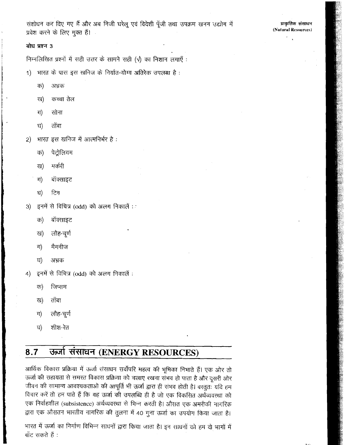संशोधन कर दिए गए हैं और अब निजी घरेलू एवं विदेशी पूँजी तथा उपक्रम खनन उद्योग में प्रवेश करने के लिए मुक्त हैं।

## बोध प्रश्न 3

निम्नलिखित प्रश्नों में सही उत्तर के सामने सही (√) का निशान लगाएँ:

- भारत के पास इस खनिज के निर्यात-योग्य अतिरेक उपलब्ध है:  $1)$ 
	- क) अभ्रक
	- कच्चा तेल ख)
	- ग) सोना
	- ताँबा घ)
- भारत इस खनिज में आत्मनिर्भर है:  $\mathbf{2}$ 
	- पेदोलियम ক)
	- मर्करी ख)
	- बॉक्साइट  $\pi$
	- टिन ঘ)
- इनमें से विचित्र (odd) को अलग निकालें :  $3)$ 
	- बॉक्साइट क)
	- लौह-चूर्ण ख)
	- मैगनीज ग)
	- ঘ) अभ्रक
- इनमें से विचित्र (odd) को अलग निकालें :  $\vert$ 4)
	- क) जिप्सम
	- ख) ताँबा
	- लौह-चूर्ण ग)
	- घ) शीश-रेत

### $8.7$ ऊर्जा संसाधन (ENERGY RESOURCES)

आर्थिक विकास प्रक्रिया में ऊर्जा संसाधन सर्वोपरि महत्व की भूमिका निभाते हैं। एक ओर तो ऊर्जा की सहायतां से समरत विकास प्रक्रिया को चलाए रखना संभव हो पाता है और दूसरी ओर जीवन की सामान्य आवश्यकताओं की आपूर्ति भी ऊर्जा द्वारा ही संभव होती है। वस्तुतः यदि हम विचार करें तो हम पाते हैं कि यह ऊर्जा की उपलब्धि ही है जो एक विकसित अर्थव्यवस्था को एक निर्वाहशील (subsistence) अर्थव्यवस्था से भिन्न करती है। औसत एक अमरीकी नागरिक द्वारा एक औसतन भारतीय नागरिक की तुलना में 40 गुना ऊर्जा का उपयोग किया जाता है।

भारत में ऊर्जा का निर्माण विभिन्न साधनों द्वारा किया जाता है। इन साधनों को हम दो भागों में बाँट सकते हैं :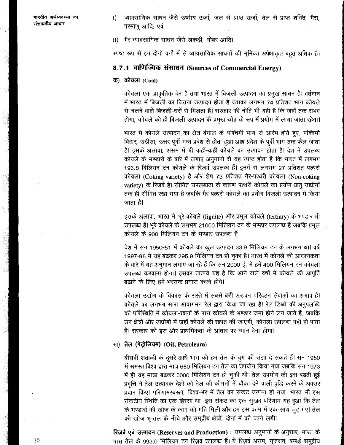भारतीय अर्थव्यवस्था का संसाधनीय आधार

- व्यावसायिक साधन जैसे उष्मीय ऊर्जा, जल से प्राप्त ऊर्जा, तेल से प्राप्त शक्ति, गैस,  $\mathbf{i}$ परमाण आदि; एवं
- ii) गैर-व्यावसायिक साधन जैसे लकड़ी, गोबर आदि।

रपष्ट रूप से इन दोनों वर्गों में से व्यावसायिक साधनों की भूमिका अपेक्षाकृत बहुत अधिक है।

## 8.7.1 वाणिज्यिक संसाधन (Sources of Commercial Energy)

### क) कोयला (Coal)

कोयला एक प्राकृतिक देन है तथा भारत में बिजली उत्पादन का प्रमुख साधन है। वर्तमान में भारत में बिजली का जितना उत्पादन होता है उसका लगभग 74 प्रतिशत भाग कोयले से चलने वाले बिजली-घरों से मिलता है। सरकार की नीति भी यही है कि जहाँ तक संभव होगा, कोयले को ही बिजली उत्पादन के प्रमुख स्रोत के रूप में प्रयोग में लाया जाता रहेगा।

भारत में कोयले उत्पादन का क्षेत्र बंगाल के पश्चिमी भाग से आरंभ होते हुए, पश्चिमी बिहार, उड़ीसा, उत्तर-पूर्वी मध्य प्रदेश से होता हुआ आंध्र प्रदेश के पूर्वी भाग तक फैल जाता है। इसके अलावा, असम में भी कहीं-कहीं कोयले का उत्पादन होता है। देश में उपलब्ध कोयले के भण्डारों के बारे में लगाए अनुमानों से यह स्पष्ट होता है कि भारत में लगभग 193.8 बिलियन टन कोयले के रिज़र्व उपलब्ध हैं। इनमें से लगभग 27 प्रतिशत पत्थरी कोयला (Coking variety) है और शेष 73 प्रतिशत गैर-पत्थरी कोयला (Non-coking variety) के रिजर्व हैं। सीमित उपलब्धता के कारण पत्थरी कोयले का प्रयोग धातू उद्योगों तक ही सीमित रखा गया है जबकि गैर-पत्थरी कोयले का प्रयोग बिजली उत्पादन में किया जाता है।

इसके अलावा, भारत में भूरे कोयले (lignite) और प्रमूल कोयले (tertiary) के भण्डार भी उपलब्ध हैं। भूरे कोयले के लगभग 21000 मिलियन टन के भण्डार उपलब्ध हैं जबकि प्रमूल कोयले के 900 मिलियन टन के भण्डार उपलब्ध हैं।

देश में सन 1950-51 में कोयले का कुल उत्पादन 33.9 मिलियन टन के लगभग था। वर्ष 1997-98 में यह बढ़कर 295.9 मिलियन टन हो चुका है। भारत में कोयले की आवश्यकता के बारे में यह अनुमान लगाए जा रहे हैं कि सन 2000 ई. में हमें 400 मिलियन टन कोयला उपलब्ध करवाना होगा। इसका तात्पर्य यह है कि आने वाले वर्षों में कोयले की आपूर्ति बढाने के लिए हमें भरसक प्रयास करने होंगे।

कोयला उद्योग के विकास के रास्ते में सबसे बड़ी अड़चन परिवहन सेवाओं का अभाव है। कोयले का लगभग सारा आवागमन रेल द्वारा किया जा रहा है। रेल डिब्बों की अनुपलब्धि की परिस्थिति में कोयला-खानों के पास कोयले के भण्डार जमा होने लग जाते हैं, जबकि उन क्षेत्रों और उद्योगों में जहाँ कोयले की खपत की जाएगी, कोयला उपलब्ध नहीं हो पाता है। सरकार को इस ओर प्राथमिकता के आधार पर ध्यान देना होगा।

### ख) तेल (पेट्रोलियम) (Oil, Petroleum)

बीसवीं शताब्दी के दूसरे आधे भाग को हम तेल के युग की संज्ञा दे सकते हैं। सन 1950 में समस्त विश्व द्वारा मात्र 650 मिलियन टन तेल का उपयोग किया गया जबकि सन 1973 में ही यह मात्रा बढ़कर 3000 मिलियन टन हो चुकी थी। तेल उपभोग की इस बढ़ती हुई प्रवृत्ति ने तेल-उत्पादक देशों को तेल की कीमतों में चौंका देने वाली वृद्धि करने के अवसर प्रदान किए। परिणामरवरूप, विश्व-भर में तेल का संकट उत्पन्न हो गया। भारत भी इस संकटीय स्थिति का एक हिस्सा था। इस संकट का एक सुखद परिणाम यह हुआ कि तेल के भण्डारों की खोज के काम को गति मिली और हम इस काम में एक-साथ जुट गए। तेल की खोज भू-तल के नीचे और समुद्रीय क्षेत्रों, दोनों में की जाने लगी।

रिज़र्व एवं उत्पादन (Reserves and Production) : उपलब्ध अनुमानों के अनुसार, भारत के पास तेल के 993.0 मिलियन टन रिज़र्व उपलब्ध हैं। ये रिज़र्व असम, गुजरात, बम्बई समुद्रीय

-20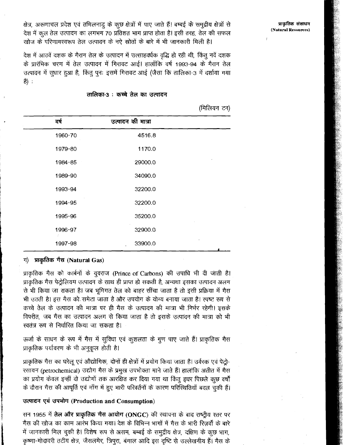क्षेत्र, अरूणाचल प्रदेश एवं तमिलनाडु के कुछ क्षेत्रों में पाए जाते हैं। बम्बई के समुद्रीय क्षेत्रों से देश में कूल तेल उत्पादन का लगभग 70 प्रतिशत भाग प्राप्त होता है। इसी तरह, तेल की सफल खोज के परिणामस्वरूप तेल उत्पादन के नऐ स्रोतों के बारे में भी जानकारी मिली है।

देश में आठवें दशक के गैरान तेल के उत्पादन में उत्साहर्क्यक वृद्धि हो रही थी, किंतु नवें दशक के प्रारंभिक चरण में तेल उत्पादन में गिरावट आई। हालाँकि वर्ष 1993-94 के गैरान तेल उत्पादन में सुधार हुआ है, किंतु पुनः इसमें गिरावट आई (जैसा कि तालिका-3 में दर्शाया गया है) :

### तालिका-3 : कच्चे तेल का उत्पादन

(मिलियन टन)

| वर्ष    | उत्पादन की मात्रा |  |
|---------|-------------------|--|
| 1960-70 | 4516.8            |  |
| 1979-80 | 1170.0            |  |
| 1984-85 | 29000.0           |  |
| 1989-90 | 34090.0           |  |
| 1993-94 | 32200.0           |  |
| 1994-95 | 32200.0           |  |
| 1995-96 | 35200.0           |  |
| 1996-97 | 32900.0           |  |
| 1997-98 | 33900.0           |  |

## ग) प्राकृतिक गैस (Natural Gas)

प्राकृतिक गैस को कार्बनों के युवराज (Prince of Carbons) की उपाधि भी दी जाती है। प्राकृतिक गैस पेट्रोलियम उत्पादन के साथ ही प्राप्त हो सकती है, अन्यथा इसका उत्पादन अलग से भी किया जा सकता है। जब भूमिगत तेल को बाहर सींचा जाता है तो इसी प्रक्रिया में गैस भी उठती है। इस गैस को समेटा जाता है और उपयोग के योग्य बनाया जाता है। स्पष्ट रूप से कच्चे तेल के उत्पादन की मात्रा पर ही गैस के उत्पादन की मात्रा भी निर्भर रहेगी। इसके विपरीत, जब गैस का उत्पादन अलग से किया जाता है तो इसके उत्पादन की मात्रा को भी खतंत्र रूप से निर्धारित किया जा सकता है।

ऊर्जा के साधन के रूप में गैस में सुविधा एवं कुशलता के गुण पाए जाते हैं। प्राकृतिक गैस प्राकृतिक पर्यावरण के भी अनुकूल होती है।

प्राकृतिक गैस का घरेलू एवं औद्योगिक, दोनों ही क्षेत्रों में प्रयोग किया जाता है। उर्वरक एवं पेट्रो-रसायन (petrochemical) उद्योग गैस के प्रमुख उपभोक्ता माने जाते हैं। हालांकि अतीत में गैस का प्रयोग केवल इन्हीं दो उद्योगों तक आरक्षित कर दिया गया था किंतु इधर पिछले कुछ वर्षों के दौरान गैस की आपूर्ति एवं माँग में हुए भारी परिवर्तनों के कारण परिस्थितियाँ बदल चुकी हैं।

## उत्पादन एवं उपभोग (Production and Consumption)

सन 1955 में **तेल और प्राकृतिक गैस आयोग** (ONGC) की स्थापना के बाद राष्ट्रीय स्तर पर गैस की खोज का काम आरंभ किया गया। देश के विभिन्न भागों में गैस के भारी रिज़र्वों के बारे में जानकारी मिल चुकी है। विशेष रूप से असम, बम्बई के समुद्रीय क्षेत्र, दक्षिण के कूछ भाग, कृष्णा-गोदावरी तटीय क्षेत्र, जैसलमेर, त्रिपुरा, बंगाल आदि इस दृष्टि से उल्लेखनीय हैं। गैस के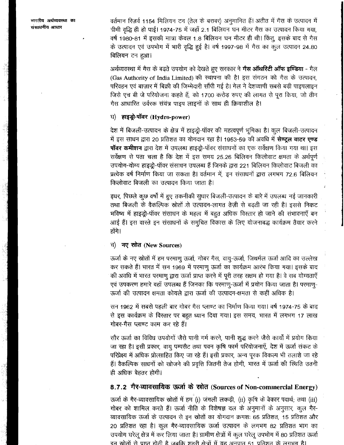वर्तमान रिज़र्व 1154 मिलियन टन (तेल के बराबर) अनुमानित हैं। अतीत में गैस के उत्पादन में धीमी वृद्धि ही हो पाई। 1974-75 में जहाँ 2.1 बिलियन घन मीटर गैस का उत्पादन किया गया, वर्ष 1980-81 में इसकी मात्रा केवल 1.8 बिलियन घन मीटर ही थी। किंतू, इसके बाद से गैस के उत्पादन एवं उपभोग में भारी वृद्धि हुई है। वर्ष 1997-98 में गैस का कुल उत्पादन 24.80 बिलियन टन हुआ।

अर्थव्यवस्था में गैस के बढ़ते उपयोग को देखते हुए सरकार ने **गैस ऑथरिटी ऑफ इण्डिया** - गैल (Gas Authority of India Limited) की स्थापना की है। इस संगठन को गैस के उत्पादन, परिवहन एवं बाज़ार में बिक्री की जिम्मेदारी सौंपी गई है। गेल ने देशव्यापी सबसे बड़ी पाइपलाइन जिसे एच बी जे परियोजना कहते हैं, को 1700 करोड़ रुपए की लागत से पूरा किया, जो तीन गैस आधारित उर्वरक संयंत्र पाइप लाइनों के साथ ही क्रियाशील है।

#### हाइड्रो-पॉवर (Hydro-power) ঘ)

देश में बिजली-उत्पादन के क्षेत्र में हाइड्रो-पॉवर की महत्वपूर्ण भूमिका है। कुल बिजली-उत्पादन में इस साधन द्वारा 20 प्रतिशत का योगदान रहा है। 1953-59 की अवधि में **सेण्ट्रल वाटर एण्ड पॉवर कमीशन** द्वारा देश में उपलब्ध हाइड्रो-पॉवर संसाधनों का एक सर्वेक्षण किया गया था। इस सर्वेक्षण से पता चला है कि देश में इस समय 25.26 बिलियन किलोवाट क्षमता के अर्थपूर्ण उपयोग-योग्य हाइज्जे-पॉवर संसाधन उपलब्ध हैं जिनके द्वारा 221 बिलियन किलोवाट बिजली का प्रत्येक वर्ष निर्माण किया जा सकता है। वर्तमान में, इन संसाधनों द्वारा लगभग 72.6 बिलियन किलोवाट बिजली का उत्पादन किया जाता है।

इधर, पिछले कुछ वर्षों में हुए तकनीकी सुधार बिजली-उत्पादन के बारे में उपलब्ध नई जानकारी तथा बिजली के वैकल्पिक स्रोतों से उत्पादन-लागत तेज़ी से बढ़ती जा रही है। इससे निकट भविष्य में हाइज़ूे-पॉवर संसाधन के महत्व में बहुत अधिक विस्तार हो जाने की संभावनाएँ बन आई हैं। इस वास्ते इन संसाधनों के समुचित विकास के लिए योजनाबद्ध कार्यक्रम तैयार करने होंगे।

### चं) नए स्रोत (New Sources)

ऊर्जा के नए स्रोतों में हम परमाणु ऊर्जा, गोबर गैस, वायु-ऊर्जा, जिथर्मल ऊर्जा आदि का उल्लेख कर सकते हैं। भारत में सन 1969 में परमाणु ऊर्जा का कार्यक्रम आरंभ किया गया। इसके बाद की अवधि में भारत परमाणू द्वारा ऊर्जा प्राप्त करने में पूरी तरह सक्षम हो गया है। वे सब योग्यताएँ एवं उपकरण हमारे यहाँ उपलब्ध हैं जिनका कि परमाणु-ऊर्जा में प्रयोग किया जाता है। परमाणु-ऊर्जा की उत्पादन क्षमता कोयले द्वारा ऊर्जा की उत्पादन-क्षमता से कहीं अधिक है।

सन 1962 में सबसे पहली बार गोबर गैस प्लाण्ट का निर्माण किया गया। वर्ष 1974-75 के बाद से इस कार्यक्रम के विस्तार पर बहुत ध्यान दिया गया। इस समय, भारत में लगभग 17 लाख गोबर-गैस प्लाण्ट काम कर रहे हैं।

सौर ऊर्जा का विविध उपयोगों जैसे पानी गर्म करने, पानी शुद्ध करने जैसे कार्यों में प्रयोग किया जा रहा है। इसी प्रकार, वायु पम्पसैट तथा पवन कृषि फार्म परियोजनाएँ, देश में ऊर्जा संकट के परिप्रेक्ष्य में अधिक प्रोत्साहित किए जा रहे हैं। इसी प्रकार, अन्य पूरक विकल्प भी तलाशे जा रहे हैं। वैकल्पिक साधनों को खोजने की प्रवृत्ति जितनी तेज होगी, भारत में ऊर्जा की स्थिति उतनी ही अधिक बेहतर होगी।

# 8.7.2 गैर-व्यावसायिक ऊर्जा के स्रोत (Sources of Non-commercial Energy)

ऊर्जा के गैर-व्यावसायिक स्रोतों में हम (i) जंगली लकड़ी, (ii) कृषि के बेकार पदार्थ; तथा (iii) गोबर को शामिल करते हैं। ऊर्जा नीति के विशेषज्ञ दल के अनुमानों के अनुसार, कूल गैर-व्यावसायिक ऊर्जा के उत्पादन से इन स्रोतों का योगदान क्रमशः 65 प्रतिशत, 15 प्रतिशत और 20 प्रतिशत रहा है। कूल गैर-व्यावसायिक ऊर्जा उत्पादन के लगभग 82 प्रतिशत भाग का उपयोग घरेलू क्षेत्र में कर लिया जाता है। ग्रामीण क्षेत्रों में कुल घरेलू उपभोग में 80 प्रतिशत ऊर्जा

डन स्रोतों से प्राप्त होती है जबकि शहरी क्षेत्रों में यह अनपात 51 प्रतिशत के लगभग है।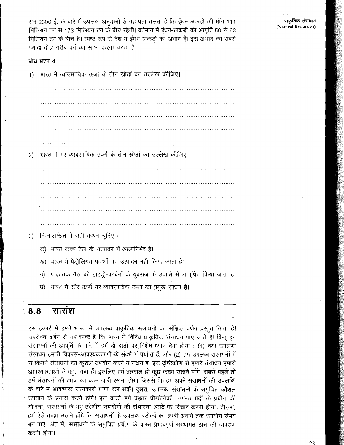सन 2000 ई. के बारे में उपलब्ध अनुमानों से यह पता चलता है कि ईंधन लकड़ी की माँग 111 मिलियन टन से 173 मिलियन टन के बीच रहेगी। वर्तमान में ईंधन-लकड़ी की आपूर्ति 50 से 63 मिलियन टन के बीच है। रपष्ट रूप से देश में ईंधन लकड़ी का अभाव है। इस अभाव का सबसे ज्यादा बोझ गरीब वर्ग को सहन दररना पड़ता है।

### बोध प्रश्न 4

्भारत में व्यावसायिक ऊर्जा के तीन स्रोतों का उल्लेख कीजिए।  $1)$ 

्भारत में गैर-व्यावसायिक ऊर्जा के तीन स्रोतों का उल्लेख कीजिए।  $\left( 2\right)$ 

निम्नलिखित में सही कथन चुनिए :  $3)$ 

- क) भारत कच्चे तेल के उत्पादन में आत्मनिर्भर है।
- ख) भारत में पेट्रोलियम पदार्थों का उत्पादन नहीं किया जाता है।
- प्राकृतिक गैस को हाइड्रो-कार्बनों के युवराज के उपाधि से आभूषित किया जाता है। ग)
- घ) भारत में सौर-ऊर्जा गैर-व्यावसायिक ऊर्जा का प्रमुख साधन है।

#### 8.8 साराश

इस इकाई में हमने भारत में उपलब्ध प्राकृतिक संसाधनों का संक्षिप्त वर्णन प्रस्तुत किया है। उपरोक्त वर्णन से यह रपष्ट है कि भारत में विविध प्राकृतिक संसाधन पाए जाते हैं। किंतु इन संसाधनों की आपूर्ति के बारे में हमें दो बातों पर विशेष ध्यान देना होगा : (1) क्या उपलब्ध संसाधन हमारी विकास-आवश्यकताओं के संदर्भ में पर्याप्त हैं; और (2) हम उपलब्ध संसाधनों में से कितने संसाधनों का कुशल उपयोग करने में सक्षम हैं। इस दृष्टिकोण से हमारे संसाधन हमारी आवश्यकताओं से बहुत कम हैं। इसलिए हमें तत्काल ही कुछ कदम उठाने होंगे। सबसे पहले तो हमें संसाधनों की खोज का काम जारी रखना होगा जिससे कि हम अपने संसाधनों की उपलब्धि के बारे में आवश्यक जानकारी प्राप्त कर सकें। दूसरा, उपलब्ध संसाधनों के समुचित कौशल उपयोग के प्रयास करने होंगे। इस वास्ते हमें बेहतर प्रौद्योगिकी, उप-उत्पादों के प्रयोग की योजना, संसाधनों के बहु-उद्देशीय उपयोगों की संभावना आदि पर विचार करना होगा। तीसरा, हमें ऐसे कदम उठाने होंगे कि संसाधनों के उपलब्ध स्टॉकों का लम्बी अवधि तक उपयोग संभव बन पाए। अंत में, संसाधनों के समुचित प्रयोग के वारते प्रभावपूर्ण संस्थागत ढाँचे की व्यवस्था करनी होगी।

प्राकृतिक संसाधन (Natural Resources)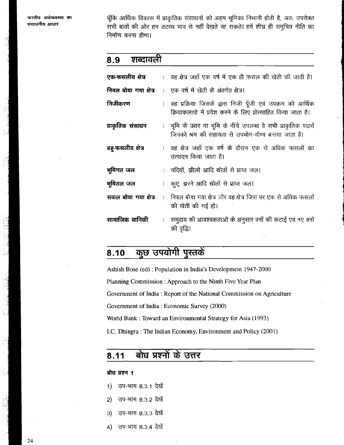ਮਾਦਰੀਲ *ਘ*ਈਕਾਰਵ**ਾ ਨਾ** संसाधनीय आधार

चूँकि आर्थिक विकास में प्राकृतिक संसाधनों को अहम भूमिका निभानी होती है, अतः उपरोक्त सभी बातों की ओर हम तटख्थ भाव से नहीं देखते रह सकते। हमें शीघ्र ही समुचित नीति का निर्माण करना होगा।

### शब्दावली 8.9

| एक-फसलीय क्षेत्र      | : वह क्षेत्र जहाँ एक वर्ष में एक ही फसल की खेती की जाती है।                                                                  |
|-----------------------|------------------------------------------------------------------------------------------------------------------------------|
| निवल बोया गया क्षेत्र | :   एक वर्ष में खेती के अंतर्गत क्षेत्र।                                                                                     |
| निजीकरण               | : वह प्रक्रिया जिसके द्वारा निजी पूँजी एवं उपक्रम को आर्थिक<br>क्रियाकलापों में प्रवेश करने के लिए प्रोत्साहित किया जाता है। |
| प्राकृतिक संसाधन      | : भूमि के ऊपर या भूमि के नीचे उपलब्ध वे सभी प्राकृतिक पदार्थ<br>जिनको श्रम की सहायता से उपभोग-योग्य बनाया जाता है।           |
| बहु-फसलीय क्षेत्र     | :  वह क्षेत्र जहाँ एक वर्ष के दौरान एक से अधिक फसलों का<br>उत्पादन किया जाता है।                                             |
| भूमिगत जल             | :   नदियों, झीलों आदि स्रोतों से प्राप्त जल।                                                                                 |
| भूमितल जल             | : कूएं, झरने आदि स्रोतों से प्राप्त जल।                                                                                      |
| सकल बोया गया क्षेत्र  | :    निवल बोया गया क्षेत्र और वह क्षेत्र जिस पर एक से अधिक फसलों<br>की खेती की गई हो।                                        |
| सामाजिक वानिकी        | : समुदाय की आवश्यकताओं के अनुसार वनों की कटाई एवं नए वनों<br>की वृद्धि।                                                      |

### कुछ उपयोगी पुस्तकें 8.10

Ashish Bose (ed): Population in India's Development 1947-2000 Planning Commission: Approach to the Ninth Five Year Plan Government of India: Report of the National Commission on Agriculture Government of India: Economic Survey (2000) World Bank: Toward an Environmental Strategy for Asia (1993) I.C. Dhingra: The Indian Economy, Environment and Policy (2001)

### बोध प्रश्नों के उत्तर 8.11

### बोध प्रश्न 1

- $1)$ उप-भाग 8.3.1 देखें
- उप-भाग 8.3.2 देखें  $2)$
- उप-भाग 8.3.3 देखें  $3)$
- $4)$ उप-भाग 8.3.4 देखें

24